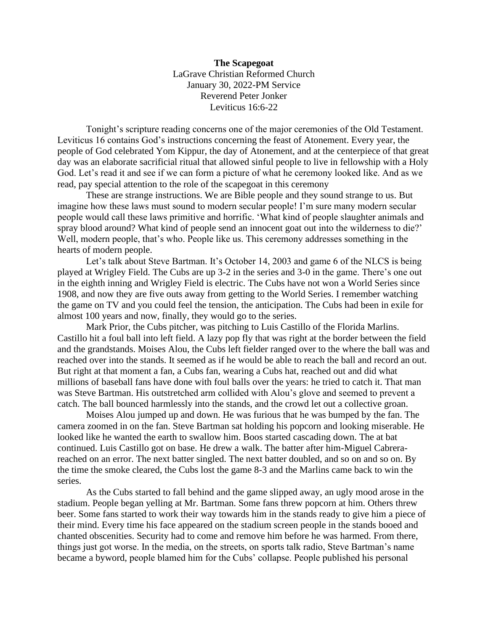**The Scapegoat** LaGrave Christian Reformed Church January 30, 2022-PM Service Reverend Peter Jonker Leviticus 16:6-22

Tonight's scripture reading concerns one of the major ceremonies of the Old Testament. Leviticus 16 contains God's instructions concerning the feast of Atonement. Every year, the people of God celebrated Yom Kippur, the day of Atonement, and at the centerpiece of that great day was an elaborate sacrificial ritual that allowed sinful people to live in fellowship with a Holy God. Let's read it and see if we can form a picture of what he ceremony looked like. And as we read, pay special attention to the role of the scapegoat in this ceremony

These are strange instructions. We are Bible people and they sound strange to us. But imagine how these laws must sound to modern secular people! I'm sure many modern secular people would call these laws primitive and horrific. 'What kind of people slaughter animals and spray blood around? What kind of people send an innocent goat out into the wilderness to die?' Well, modern people, that's who. People like us. This ceremony addresses something in the hearts of modern people.

Let's talk about Steve Bartman. It's October 14, 2003 and game 6 of the NLCS is being played at Wrigley Field. The Cubs are up 3-2 in the series and 3-0 in the game. There's one out in the eighth inning and Wrigley Field is electric. The Cubs have not won a World Series since 1908, and now they are five outs away from getting to the World Series. I remember watching the game on TV and you could feel the tension, the anticipation. The Cubs had been in exile for almost 100 years and now, finally, they would go to the series.

Mark Prior, the Cubs pitcher, was pitching to Luis Castillo of the Florida Marlins. Castillo hit a foul ball into left field. A lazy pop fly that was right at the border between the field and the grandstands. Moises Alou, the Cubs left fielder ranged over to the where the ball was and reached over into the stands. It seemed as if he would be able to reach the ball and record an out. But right at that moment a fan, a Cubs fan, wearing a Cubs hat, reached out and did what millions of baseball fans have done with foul balls over the years: he tried to catch it. That man was Steve Bartman. His outstretched arm collided with Alou's glove and seemed to prevent a catch. The ball bounced harmlessly into the stands, and the crowd let out a collective groan.

Moises Alou jumped up and down. He was furious that he was bumped by the fan. The camera zoomed in on the fan. Steve Bartman sat holding his popcorn and looking miserable. He looked like he wanted the earth to swallow him. Boos started cascading down. The at bat continued. Luis Castillo got on base. He drew a walk. The batter after him-Miguel Cabrerareached on an error. The next batter singled. The next batter doubled, and so on and so on. By the time the smoke cleared, the Cubs lost the game 8-3 and the Marlins came back to win the series.

As the Cubs started to fall behind and the game slipped away, an ugly mood arose in the stadium. People began yelling at Mr. Bartman. Some fans threw popcorn at him. Others threw beer. Some fans started to work their way towards him in the stands ready to give him a piece of their mind. Every time his face appeared on the stadium screen people in the stands booed and chanted obscenities. Security had to come and remove him before he was harmed. From there, things just got worse. In the media, on the streets, on sports talk radio, Steve Bartman's name became a byword, people blamed him for the Cubs' collapse. People published his personal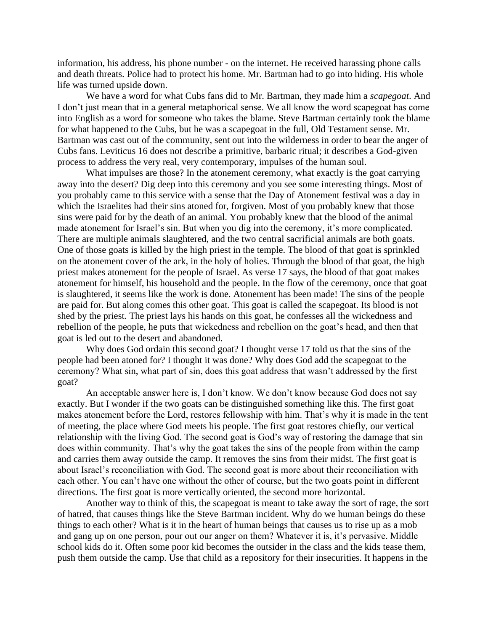information, his address, his phone number - on the internet. He received harassing phone calls and death threats. Police had to protect his home. Mr. Bartman had to go into hiding. His whole life was turned upside down.

We have a word for what Cubs fans did to Mr. Bartman, they made him a *scapegoat*. And I don't just mean that in a general metaphorical sense. We all know the word scapegoat has come into English as a word for someone who takes the blame. Steve Bartman certainly took the blame for what happened to the Cubs, but he was a scapegoat in the full, Old Testament sense. Mr. Bartman was cast out of the community, sent out into the wilderness in order to bear the anger of Cubs fans. Leviticus 16 does not describe a primitive, barbaric ritual; it describes a God-given process to address the very real, very contemporary, impulses of the human soul.

What impulses are those? In the atonement ceremony, what exactly is the goat carrying away into the desert? Dig deep into this ceremony and you see some interesting things. Most of you probably came to this service with a sense that the Day of Atonement festival was a day in which the Israelites had their sins atoned for, forgiven. Most of you probably knew that those sins were paid for by the death of an animal. You probably knew that the blood of the animal made atonement for Israel's sin. But when you dig into the ceremony, it's more complicated. There are multiple animals slaughtered, and the two central sacrificial animals are both goats. One of those goats is killed by the high priest in the temple. The blood of that goat is sprinkled on the atonement cover of the ark, in the holy of holies. Through the blood of that goat, the high priest makes atonement for the people of Israel. As verse 17 says, the blood of that goat makes atonement for himself, his household and the people. In the flow of the ceremony, once that goat is slaughtered, it seems like the work is done. Atonement has been made! The sins of the people are paid for. But along comes this other goat. This goat is called the scapegoat. Its blood is not shed by the priest. The priest lays his hands on this goat, he confesses all the wickedness and rebellion of the people, he puts that wickedness and rebellion on the goat's head, and then that goat is led out to the desert and abandoned.

Why does God ordain this second goat? I thought verse 17 told us that the sins of the people had been atoned for? I thought it was done? Why does God add the scapegoat to the ceremony? What sin, what part of sin, does this goat address that wasn't addressed by the first goat?

An acceptable answer here is, I don't know. We don't know because God does not say exactly. But I wonder if the two goats can be distinguished something like this. The first goat makes atonement before the Lord, restores fellowship with him. That's why it is made in the tent of meeting, the place where God meets his people. The first goat restores chiefly, our vertical relationship with the living God. The second goat is God's way of restoring the damage that sin does within community. That's why the goat takes the sins of the people from within the camp and carries them away outside the camp. It removes the sins from their midst. The first goat is about Israel's reconciliation with God. The second goat is more about their reconciliation with each other. You can't have one without the other of course, but the two goats point in different directions. The first goat is more vertically oriented, the second more horizontal.

Another way to think of this, the scapegoat is meant to take away the sort of rage, the sort of hatred, that causes things like the Steve Bartman incident. Why do we human beings do these things to each other? What is it in the heart of human beings that causes us to rise up as a mob and gang up on one person, pour out our anger on them? Whatever it is, it's pervasive. Middle school kids do it. Often some poor kid becomes the outsider in the class and the kids tease them, push them outside the camp. Use that child as a repository for their insecurities. It happens in the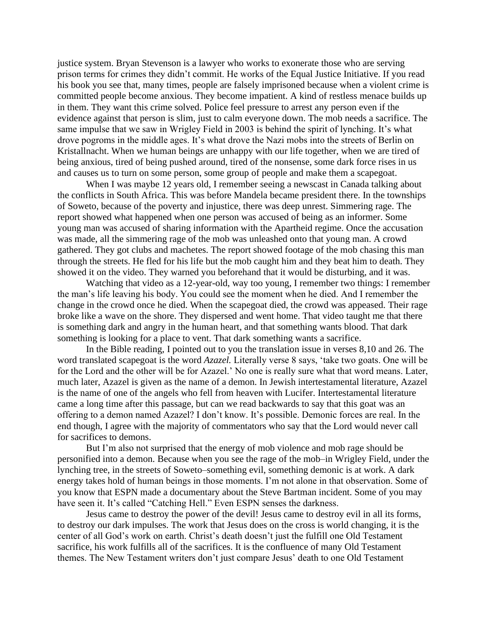justice system. Bryan Stevenson is a lawyer who works to exonerate those who are serving prison terms for crimes they didn't commit. He works of the Equal Justice Initiative. If you read his book you see that, many times, people are falsely imprisoned because when a violent crime is committed people become anxious. They become impatient. A kind of restless menace builds up in them. They want this crime solved. Police feel pressure to arrest any person even if the evidence against that person is slim, just to calm everyone down. The mob needs a sacrifice. The same impulse that we saw in Wrigley Field in 2003 is behind the spirit of lynching. It's what drove pogroms in the middle ages. It's what drove the Nazi mobs into the streets of Berlin on Kristallnacht. When we human beings are unhappy with our life together, when we are tired of being anxious, tired of being pushed around, tired of the nonsense, some dark force rises in us and causes us to turn on some person, some group of people and make them a scapegoat.

When I was maybe 12 years old, I remember seeing a newscast in Canada talking about the conflicts in South Africa. This was before Mandela became president there. In the townships of Soweto, because of the poverty and injustice, there was deep unrest. Simmering rage. The report showed what happened when one person was accused of being as an informer. Some young man was accused of sharing information with the Apartheid regime. Once the accusation was made, all the simmering rage of the mob was unleashed onto that young man. A crowd gathered. They got clubs and machetes. The report showed footage of the mob chasing this man through the streets. He fled for his life but the mob caught him and they beat him to death. They showed it on the video. They warned you beforehand that it would be disturbing, and it was.

Watching that video as a 12-year-old, way too young, I remember two things: I remember the man's life leaving his body. You could see the moment when he died. And I remember the change in the crowd once he died. When the scapegoat died, the crowd was appeased. Their rage broke like a wave on the shore. They dispersed and went home. That video taught me that there is something dark and angry in the human heart, and that something wants blood. That dark something is looking for a place to vent. That dark something wants a sacrifice.

In the Bible reading, I pointed out to you the translation issue in verses 8,10 and 26. The word translated scapegoat is the word *Azazel.* Literally verse 8 says, 'take two goats. One will be for the Lord and the other will be for Azazel.' No one is really sure what that word means. Later, much later, Azazel is given as the name of a demon. In Jewish intertestamental literature, Azazel is the name of one of the angels who fell from heaven with Lucifer. Intertestamental literature came a long time after this passage, but can we read backwards to say that this goat was an offering to a demon named Azazel? I don't know. It's possible. Demonic forces are real. In the end though, I agree with the majority of commentators who say that the Lord would never call for sacrifices to demons.

But I'm also not surprised that the energy of mob violence and mob rage should be personified into a demon. Because when you see the rage of the mob–in Wrigley Field, under the lynching tree, in the streets of Soweto–something evil, something demonic is at work. A dark energy takes hold of human beings in those moments. I'm not alone in that observation. Some of you know that ESPN made a documentary about the Steve Bartman incident. Some of you may have seen it. It's called "Catching Hell." Even ESPN senses the darkness.

Jesus came to destroy the power of the devil! Jesus came to destroy evil in all its forms, to destroy our dark impulses. The work that Jesus does on the cross is world changing, it is the center of all God's work on earth. Christ's death doesn't just the fulfill one Old Testament sacrifice, his work fulfills all of the sacrifices. It is the confluence of many Old Testament themes. The New Testament writers don't just compare Jesus' death to one Old Testament